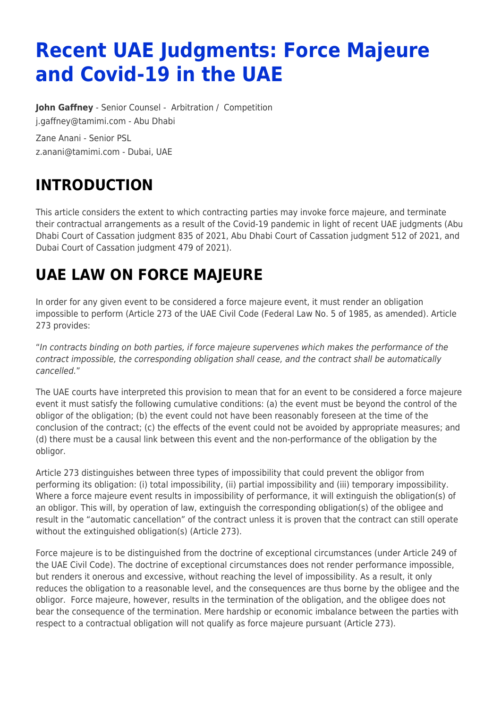# **Recent UAE Judgments: Force Majeure and Covid-19 in the UAE**

**[John Gaffney](https://www.tamimi.com/find-a-lawyer/john-gaffney/)** - Senior Counsel - [Arbitration](https://www.tamimi.com/client-services/practices/arbitration/) / [Competition](https://www.tamimi.com/client-services/practices/competition/) [j.gaffney@tamimi.com](mailto:j.gaffney@tamimi.com) - [Abu Dhabi](https://www.tamimi.com/locations/uae/)

Zane Anani - Senior PSL [z.anani@tamimi.com](mailto:z.anani@tamimi.com) - Dubai, UAE

## **INTRODUCTION**

This article considers the extent to which contracting parties may invoke force majeure, and terminate their contractual arrangements as a result of the Covid-19 pandemic in light of recent UAE judgments (Abu Dhabi Court of Cassation judgment 835 of 2021, Abu Dhabi Court of Cassation judgment 512 of 2021, and Dubai Court of Cassation judgment 479 of 2021).

#### **UAE LAW ON FORCE MAJEURE**

In order for any given event to be considered a force majeure event, it must render an obligation impossible to perform (Article 273 of the UAE Civil Code (Federal Law No. 5 of 1985, as amended). Article 273 provides:

"In contracts binding on both parties, if force majeure supervenes which makes the performance of the contract impossible, the corresponding obligation shall cease, and the contract shall be automatically cancelled."

The UAE courts have interpreted this provision to mean that for an event to be considered a force majeure event it must satisfy the following cumulative conditions: (a) the event must be beyond the control of the obligor of the obligation; (b) the event could not have been reasonably foreseen at the time of the conclusion of the contract; (c) the effects of the event could not be avoided by appropriate measures; and (d) there must be a causal link between this event and the non-performance of the obligation by the obligor.

Article 273 distinguishes between three types of impossibility that could prevent the obligor from performing its obligation: (i) total impossibility, (ii) partial impossibility and (iii) temporary impossibility. Where a force majeure event results in impossibility of performance, it will extinguish the obligation(s) of an obligor. This will, by operation of law, extinguish the corresponding obligation(s) of the obligee and result in the "automatic cancellation" of the contract unless it is proven that the contract can still operate without the extinguished obligation(s) (Article 273).

Force majeure is to be distinguished from the doctrine of exceptional circumstances (under Article 249 of the UAE Civil Code). The doctrine of exceptional circumstances does not render performance impossible, but renders it onerous and excessive, without reaching the level of impossibility. As a result, it only reduces the obligation to a reasonable level, and the consequences are thus borne by the obligee and the obligor. Force majeure, however, results in the termination of the obligation, and the obligee does not bear the consequence of the termination. Mere hardship or economic imbalance between the parties with respect to a contractual obligation will not qualify as force majeure pursuant (Article 273).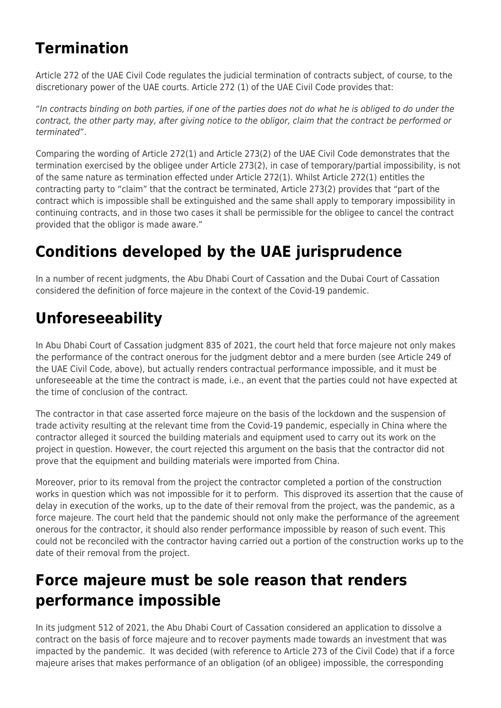#### **Termination**

Article 272 of the UAE Civil Code regulates the judicial termination of contracts subject, of course, to the discretionary power of the UAE courts. Article 272 (1) of the UAE Civil Code provides that:

"In contracts binding on both parties, if one of the parties does not do what he is obliged to do under the contract, the other party may, after giving notice to the obligor, claim that the contract be performed or terminated".

Comparing the wording of Article 272(1) and Article 273(2) of the UAE Civil Code demonstrates that the termination exercised by the obligee under Article 273(2), in case of temporary/partial impossibility, is not of the same nature as termination effected under Article 272(1). Whilst Article 272(1) entitles the contracting party to "claim" that the contract be terminated, Article 273(2) provides that "part of the contract which is impossible shall be extinguished and the same shall apply to temporary impossibility in continuing contracts, and in those two cases it shall be permissible for the obligee to cancel the contract provided that the obligor is made aware."

## **Conditions developed by the UAE jurisprudence**

In a number of recent judgments, the Abu Dhabi Court of Cassation and the Dubai Court of Cassation considered the definition of force majeure in the context of the Covid-19 pandemic.

### **Unforeseeability**

In Abu Dhabi Court of Cassation judgment 835 of 2021, the court held that force majeure not only makes the performance of the contract onerous for the judgment debtor and a mere burden (see Article 249 of the UAE Civil Code, above), but actually renders contractual performance impossible, and it must be unforeseeable at the time the contract is made, i.e., an event that the parties could not have expected at the time of conclusion of the contract.

The contractor in that case asserted force majeure on the basis of the lockdown and the suspension of trade activity resulting at the relevant time from the Covid-19 pandemic, especially in China where the contractor alleged it sourced the building materials and equipment used to carry out its work on the project in question. However, the court rejected this argument on the basis that the contractor did not prove that the equipment and building materials were imported from China.

Moreover, prior to its removal from the project the contractor completed a portion of the construction works in question which was not impossible for it to perform. This disproved its assertion that the cause of delay in execution of the works, up to the date of their removal from the project, was the pandemic, as a force majeure. The court held that the pandemic should not only make the performance of the agreement onerous for the contractor, it should also render performance impossible by reason of such event. This could not be reconciled with the contractor having carried out a portion of the construction works up to the date of their removal from the project.

#### **Force majeure must be sole reason that renders performance impossible**

In its judgment 512 of 2021, the Abu Dhabi Court of Cassation considered an application to dissolve a contract on the basis of force majeure and to recover payments made towards an investment that was impacted by the pandemic. It was decided (with reference to Article 273 of the Civil Code) that if a force majeure arises that makes performance of an obligation (of an obligee) impossible, the corresponding